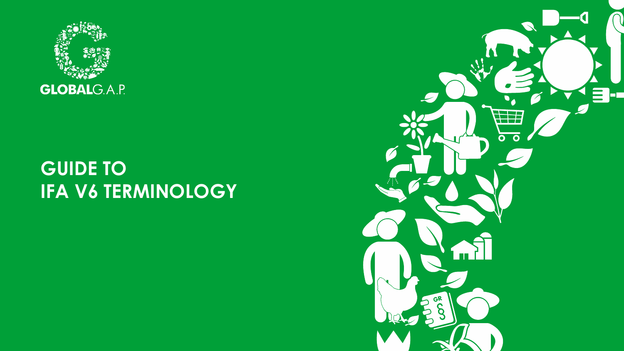

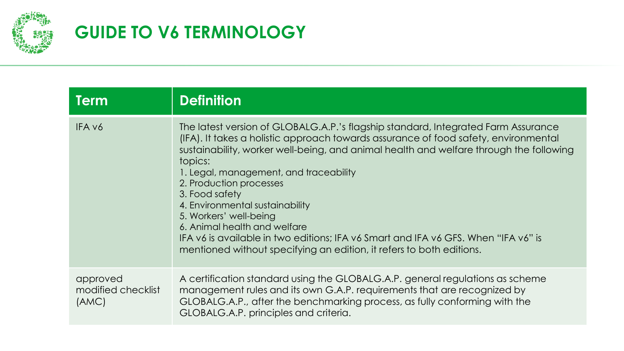

| <b>Term</b>                             | <b>Definition</b>                                                                                                                                                                                                                                                                                                                                                                                                                                                                                                                                                                                                               |
|-----------------------------------------|---------------------------------------------------------------------------------------------------------------------------------------------------------------------------------------------------------------------------------------------------------------------------------------------------------------------------------------------------------------------------------------------------------------------------------------------------------------------------------------------------------------------------------------------------------------------------------------------------------------------------------|
| IFA v6                                  | The latest version of GLOBALG.A.P.'s flagship standard, Integrated Farm Assurance<br>(IFA). It takes a holistic approach towards assurance of food safety, environmental<br>sustainability, worker well-being, and animal health and welfare through the following<br>topics:<br>1. Legal, management, and traceability<br>2. Production processes<br>3. Food safety<br>4. Environmental sustainability<br>5. Workers' well-being<br>6. Animal health and welfare<br>IFA v6 is available in two editions; IFA v6 Smart and IFA v6 GFS. When "IFA v6" is<br>mentioned without specifying an edition, it refers to both editions. |
| approved<br>modified checklist<br>(AMC) | A certification standard using the GLOBALG.A.P. general regulations as scheme<br>management rules and its own G.A.P. requirements that are recognized by<br>GLOBALG.A.P., after the benchmarking process, as fully conforming with the<br>GLOBALG.A.P. principles and criteria.                                                                                                                                                                                                                                                                                                                                                 |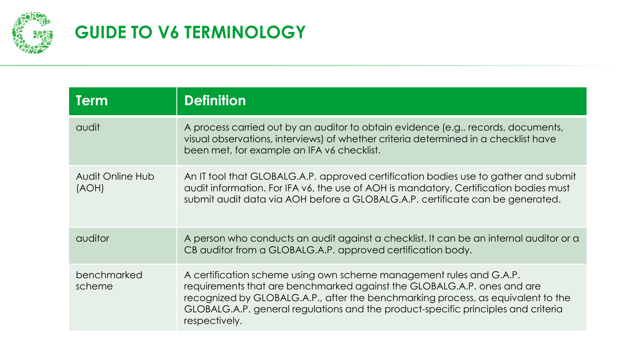

| <b>Term</b>               | <b>Definition</b>                                                                                                                                                                                                                                                                                                                        |
|---------------------------|------------------------------------------------------------------------------------------------------------------------------------------------------------------------------------------------------------------------------------------------------------------------------------------------------------------------------------------|
| audit                     | A process carried out by an auditor to obtain evidence (e.g., records, documents,<br>visual observations, interviews) of whether criteria determined in a checklist have<br>been met, for example an IFA v6 checklist.                                                                                                                   |
| Audit Online Hub<br>(AOH) | An IT tool that GLOBALG.A.P. approved certification bodies use to gather and submit<br>audit information. For IFA v6, the use of AOH is mandatory. Certification bodies must<br>submit audit data via AOH before a GLOBALG.A.P. certificate can be generated.                                                                            |
| auditor                   | A person who conducts an audit against a checklist. It can be an internal auditor or a<br>CB auditor from a GLOBALG.A.P. approved certification body.                                                                                                                                                                                    |
| benchmarked<br>scheme     | A certification scheme using own scheme management rules and G.A.P.<br>requirements that are benchmarked against the GLOBALG.A.P. ones and are<br>recognized by GLOBALG.A.P., after the benchmarking process, as equivalent to the<br>GLOBALG.A.P. general regulations and the product-specific principles and criteria<br>respectively. |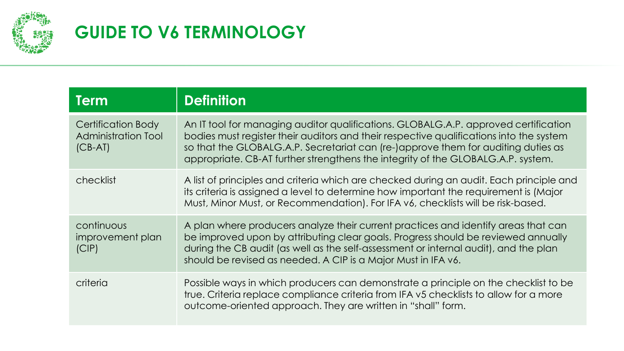

| <b>Term</b>                                                   | <b>Definition</b>                                                                                                                                                                                                                                                                                                                                       |
|---------------------------------------------------------------|---------------------------------------------------------------------------------------------------------------------------------------------------------------------------------------------------------------------------------------------------------------------------------------------------------------------------------------------------------|
| Certification Body<br><b>Administration Tool</b><br>$(CB-AT)$ | An IT tool for managing auditor qualifications. GLOBALG.A.P. approved certification<br>bodies must register their auditors and their respective qualifications into the system<br>so that the GLOBALG.A.P. Secretariat can (re-)approve them for auditing duties as<br>appropriate. CB-AT further strengthens the integrity of the GLOBALG.A.P. system. |
| checklist                                                     | A list of principles and criteria which are checked during an audit. Each principle and<br>its criteria is assigned a level to determine how important the requirement is (Major<br>Must, Minor Must, or Recommendation). For IFA v6, checklists will be risk-based.                                                                                    |
| continuous<br>improvement plan<br>(CIP)                       | A plan where producers analyze their current practices and identify areas that can<br>be improved upon by attributing clear goals. Progress should be reviewed annually<br>during the CB audit (as well as the self-assessment or internal audit), and the plan<br>should be revised as needed. A CIP is a Major Must in IFA v6.                        |
| criteria                                                      | Possible ways in which producers can demonstrate a principle on the checklist to be<br>true. Criteria replace compliance criteria from IFA v5 checklists to allow for a more<br>outcome-oriented approach. They are written in "shall" form.                                                                                                            |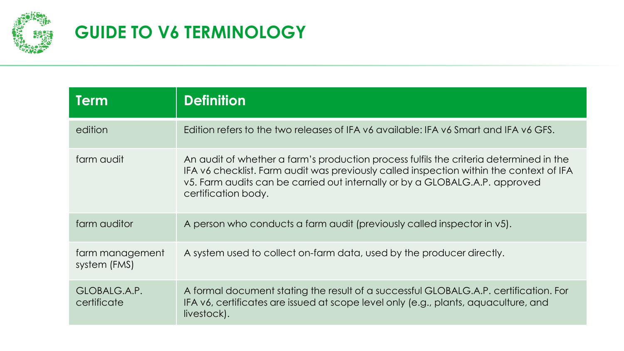

| <b>Term</b>                     | <b>Definition</b>                                                                                                                                                                                                                                                                       |
|---------------------------------|-----------------------------------------------------------------------------------------------------------------------------------------------------------------------------------------------------------------------------------------------------------------------------------------|
| edition                         | Edition refers to the two releases of IFA v6 available: IFA v6 Smart and IFA v6 GFS.                                                                                                                                                                                                    |
| farm audit                      | An audit of whether a farm's production process fulfils the criteria determined in the<br>IFA v6 checklist. Farm audit was previously called inspection within the context of IFA<br>v5. Farm audits can be carried out internally or by a GLOBALG.A.P. approved<br>certification body. |
| farm auditor                    | A person who conducts a farm audit (previously called inspector in v5).                                                                                                                                                                                                                 |
| farm management<br>system (FMS) | A system used to collect on-farm data, used by the producer directly.                                                                                                                                                                                                                   |
| GLOBALG.A.P.<br>certificate     | A formal document stating the result of a successful GLOBALG.A.P. certification. For<br>IFA v6, certificates are issued at scope level only (e.g., plants, aquaculture, and<br>livestock).                                                                                              |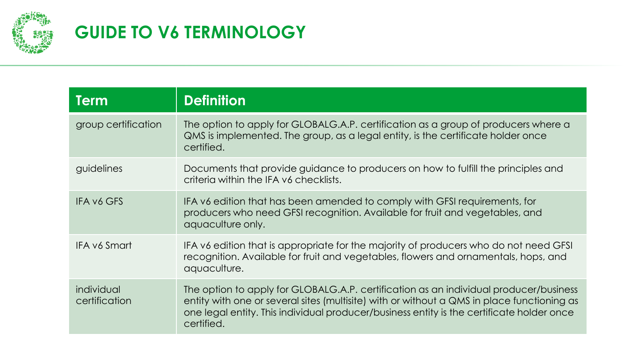

| <b>Term</b>                 | <b>Definition</b>                                                                                                                                                                                                                                                                              |
|-----------------------------|------------------------------------------------------------------------------------------------------------------------------------------------------------------------------------------------------------------------------------------------------------------------------------------------|
| group certification         | The option to apply for GLOBALG.A.P. certification as a group of producers where a<br>QMS is implemented. The group, as a legal entity, is the certificate holder once<br>certified.                                                                                                           |
| guidelines                  | Documents that provide guidance to producers on how to fulfill the principles and<br>criteria within the IFA v6 checklists.                                                                                                                                                                    |
| <b>IFA v6 GFS</b>           | IFA v6 edition that has been amended to comply with GFSI requirements, for<br>producers who need GFSI recognition. Available for fruit and vegetables, and<br>aquaculture only.                                                                                                                |
| <b>IFA v6 Smart</b>         | IFA v6 edition that is appropriate for the majority of producers who do not need GFSI<br>recognition. Available for fruit and vegetables, flowers and ornamentals, hops, and<br>aquaculture.                                                                                                   |
| individual<br>certification | The option to apply for GLOBALG.A.P. certification as an individual producer/business<br>entity with one or several sites (multisite) with or without a QMS in place functioning as<br>one legal entity. This individual producer/business entity is the certificate holder once<br>certified. |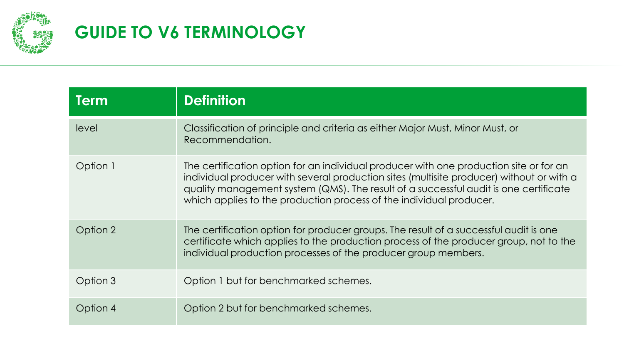

| <b>Term</b> | <b>Definition</b>                                                                                                                                                                                                                                                                                                                                 |
|-------------|---------------------------------------------------------------------------------------------------------------------------------------------------------------------------------------------------------------------------------------------------------------------------------------------------------------------------------------------------|
| level       | Classification of principle and criteria as either Major Must, Minor Must, or<br>Recommendation.                                                                                                                                                                                                                                                  |
| Option 1    | The certification option for an individual producer with one production site or for an<br>individual producer with several production sites (multisite producer) without or with a<br>quality management system (QMS). The result of a successful audit is one certificate<br>which applies to the production process of the individual producer. |
| Option 2    | The certification option for producer groups. The result of a successful audit is one<br>certificate which applies to the production process of the producer group, not to the<br>individual production processes of the producer group members.                                                                                                  |
| Option 3    | Option 1 but for benchmarked schemes.                                                                                                                                                                                                                                                                                                             |
| Option 4    | Option 2 but for benchmarked schemes.                                                                                                                                                                                                                                                                                                             |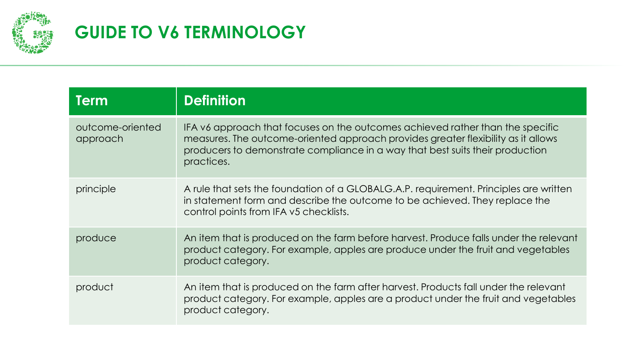

| <b>Term</b>                  | <b>Definition</b>                                                                                                                                                                                                                                                  |
|------------------------------|--------------------------------------------------------------------------------------------------------------------------------------------------------------------------------------------------------------------------------------------------------------------|
| outcome-oriented<br>approach | IFA v6 approach that focuses on the outcomes achieved rather than the specific<br>measures. The outcome-oriented approach provides greater flexibility as it allows<br>producers to demonstrate compliance in a way that best suits their production<br>practices. |
| principle                    | A rule that sets the foundation of a GLOBALG.A.P. requirement. Principles are written<br>in statement form and describe the outcome to be achieved. They replace the<br>control points from IFA v5 checklists.                                                     |
| produce                      | An item that is produced on the farm before harvest. Produce falls under the relevant<br>product category. For example, apples are produce under the fruit and vegetables<br>product category.                                                                     |
| product                      | An item that is produced on the farm after harvest. Products fall under the relevant<br>product category. For example, apples are a product under the fruit and vegetables<br>product category.                                                                    |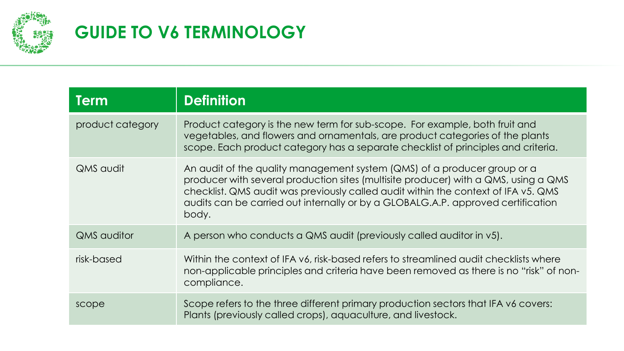

| <b>Term</b>        | <b>Definition</b>                                                                                                                                                                                                                                                                                                                                  |
|--------------------|----------------------------------------------------------------------------------------------------------------------------------------------------------------------------------------------------------------------------------------------------------------------------------------------------------------------------------------------------|
| product category   | Product category is the new term for sub-scope. For example, both fruit and<br>vegetables, and flowers and ornamentals, are product categories of the plants<br>scope. Each product category has a separate checklist of principles and criteria.                                                                                                  |
| <b>QMS</b> audit   | An audit of the quality management system (QMS) of a producer group or a<br>producer with several production sites (multisite producer) with a QMS, using a QMS<br>checklist. QMS audit was previously called audit within the context of IFA v5. QMS<br>audits can be carried out internally or by a GLOBALG.A.P. approved certification<br>body. |
| <b>QMS</b> auditor | A person who conducts a QMS audit (previously called auditor in v5).                                                                                                                                                                                                                                                                               |
| risk-based         | Within the context of IFA v6, risk-based refers to streamlined audit checklists where<br>non-applicable principles and criteria have been removed as there is no "risk" of non-<br>compliance.                                                                                                                                                     |
| scope              | Scope refers to the three different primary production sectors that IFA v6 covers:<br>Plants (previously called crops), aquaculture, and livestock.                                                                                                                                                                                                |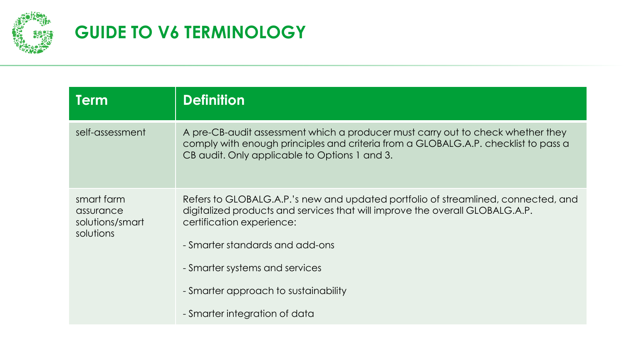

| Term                                                    | <b>Definition</b>                                                                                                                                                                                                                 |
|---------------------------------------------------------|-----------------------------------------------------------------------------------------------------------------------------------------------------------------------------------------------------------------------------------|
| self-assessment                                         | A pre-CB-audit assessment which a producer must carry out to check whether they<br>comply with enough principles and criteria from a GLOBALG.A.P. checklist to pass a<br>CB audit. Only applicable to Options 1 and 3.            |
| smart farm<br>assurance<br>solutions/smart<br>solutions | Refers to GLOBALG.A.P.'s new and updated portfolio of streamlined, connected, and<br>digitalized products and services that will improve the overall GLOBALG.A.P.<br>certification experience:<br>- Smarter standards and add-ons |
|                                                         | - Smarter systems and services                                                                                                                                                                                                    |
|                                                         | - Smarter approach to sustainability                                                                                                                                                                                              |
|                                                         | - Smarter integration of data                                                                                                                                                                                                     |